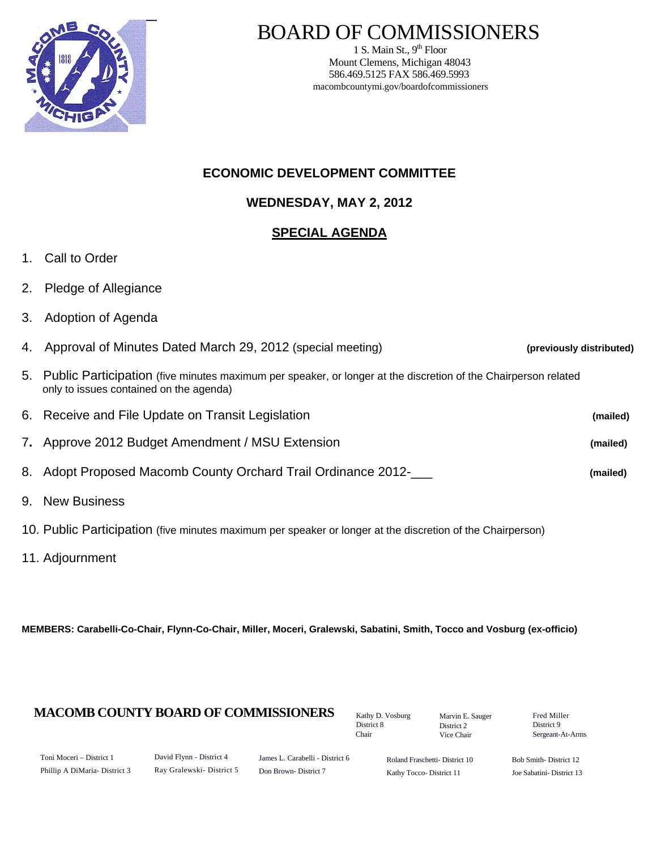

# BOARD OF COMMISSIONERS

1 S. Main St.,  $9<sup>th</sup>$  Floor Mount Clemens, Michigan 48043 586.469.5125 FAX 586.469.5993 macombcountymi.gov/boardofcommissioners

## **ECONOMIC DEVELOPMENT COMMITTEE**

**WEDNESDAY, MAY 2, 2012**

## **SPECIAL AGENDA**

- 1. Call to Order
- 2. Pledge of Allegiance
- 3. Adoption of Agenda

| 4. Approval of Minutes Dated March 29, 2012 (special meeting)                                                                                                | (previously distributed) |
|--------------------------------------------------------------------------------------------------------------------------------------------------------------|--------------------------|
| 5. Public Participation (five minutes maximum per speaker, or longer at the discretion of the Chairperson related<br>only to issues contained on the agenda) |                          |
| 6. Receive and File Update on Transit Legislation                                                                                                            | (mailed)                 |
| 7. Approve 2012 Budget Amendment / MSU Extension                                                                                                             | (mailed)                 |
| 8. Adopt Proposed Macomb County Orchard Trail Ordinance 2012-                                                                                                | (mailed)                 |
| 9. New Business                                                                                                                                              |                          |

- 10. Public Participation (five minutes maximum per speaker or longer at the discretion of the Chairperson)
- 11. Adjournment

**MEMBERS: Carabelli-Co-Chair, Flynn-Co-Chair, Miller, Moceri, Gralewski, Sabatini, Smith, Tocco and Vosburg (ex-officio)**

## **MACOMB COUNTY BOARD OF COMMISSIONERS** Factor D. Vosburg Marvin F. Sauger Fred Miller

Kathy D. Vosburg District 8 Chair

Marvin E. Sauger District 2 Vice Chair

District 9 Sergeant-At-Arms

| Toni Moceri – District 1      |
|-------------------------------|
| Phillip A DiMaria- District 3 |

David Flynn - District 4 Ray Gralewski- District 5

James L. Carabelli - District 6 Don Brown- District 7

Roland Fraschetti- District 10 Kathy Tocco- District 11

Bob Smith- District 12 Joe Sabatini- District 13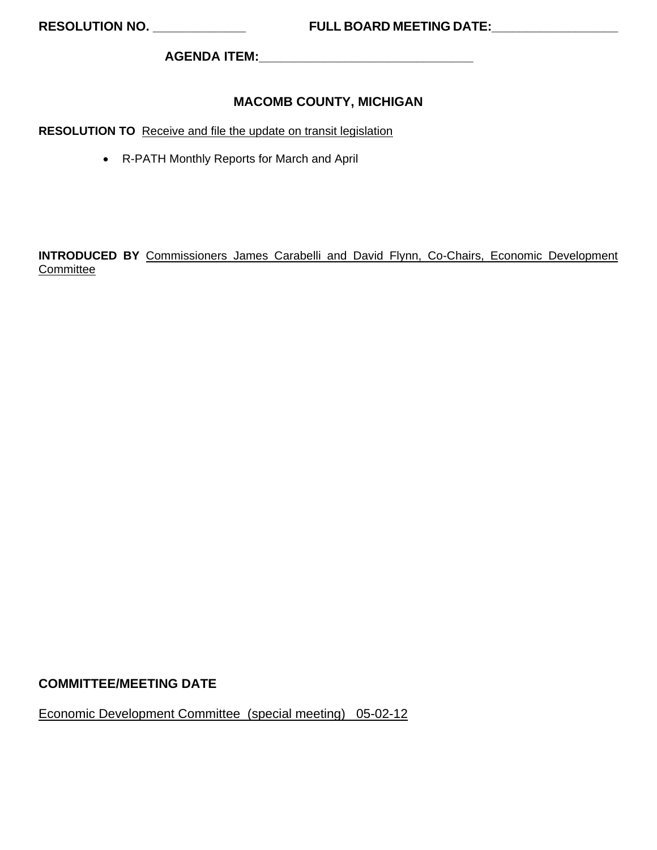**AGENDA ITEM:\_\_\_\_\_\_\_\_\_\_\_\_\_\_\_\_\_\_\_\_\_\_\_\_\_\_\_\_\_\_** 

## **MACOMB COUNTY, MICHIGAN**

**RESOLUTION TO** Receive and file the update on transit legislation

• R-PATH Monthly Reports for March and April

**INTRODUCED BY** Commissioners James Carabelli and David Flynn, Co-Chairs, Economic Development **Committee** 

#### **COMMITTEE/MEETING DATE**

Economic Development Committee (special meeting) 05-02-12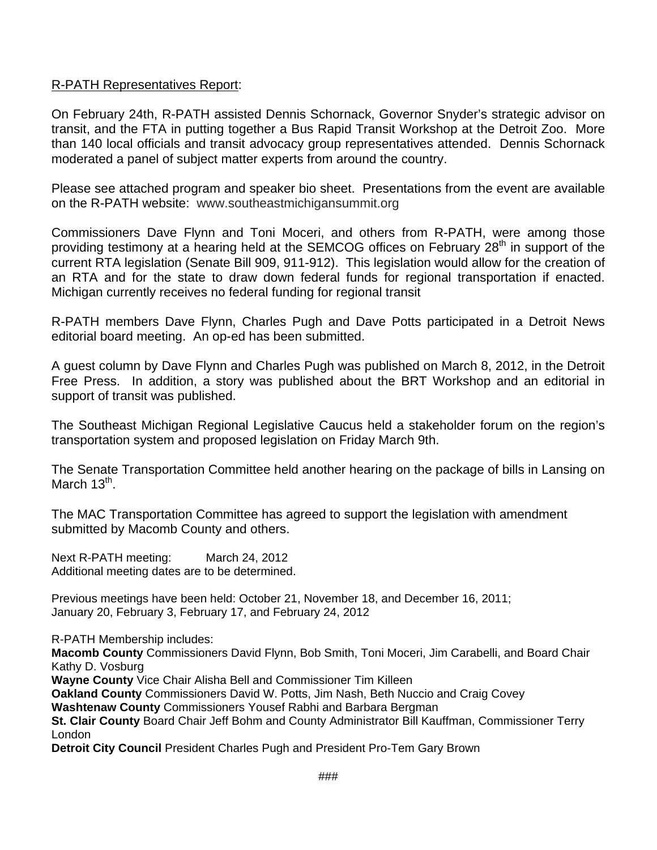## R-PATH Representatives Report:

On February 24th, R-PATH assisted Dennis Schornack, Governor Snyder's strategic advisor on transit, and the FTA in putting together a Bus Rapid Transit Workshop at the Detroit Zoo. More than 140 local officials and transit advocacy group representatives attended. Dennis Schornack moderated a panel of subject matter experts from around the country.

Please see attached program and speaker bio sheet. Presentations from the event are available on the R-PATH website: [www.southeastmichigansummit.org](http://www.southeastmichigansummit.org/)

Commissioners Dave Flynn and Toni Moceri, and others from R-PATH, were among those providing testimony at a hearing held at the SEMCOG offices on February 28<sup>th</sup> in support of the current RTA legislation (Senate Bill 909, 911-912). This legislation would allow for the creation of an RTA and for the state to draw down federal funds for regional transportation if enacted. Michigan currently receives no federal funding for regional transit

R-PATH members Dave Flynn, Charles Pugh and Dave Potts participated in a Detroit News editorial board meeting. An op-ed has been submitted.

A guest column by Dave Flynn and Charles Pugh was published on March 8, 2012, in the Detroit Free Press. In addition, a story was published about the BRT Workshop and an editorial in support of transit was published.

The Southeast Michigan Regional Legislative Caucus held a stakeholder forum on the region's transportation system and proposed legislation on Friday March 9th.

The Senate Transportation Committee held another hearing on the package of bills in Lansing on March  $13^{th}$ .

The MAC Transportation Committee has agreed to support the legislation with amendment submitted by Macomb County and others.

Next R-PATH meeting: March 24, 2012 Additional meeting dates are to be determined.

Previous meetings have been held: October 21, November 18, and December 16, 2011; January 20, February 3, February 17, and February 24, 2012

R-PATH Membership includes:

**Macomb County** Commissioners David Flynn, Bob Smith, Toni Moceri, Jim Carabelli, and Board Chair Kathy D. Vosburg

**Wayne County** Vice Chair Alisha Bell and Commissioner Tim Killeen

**Oakland County** Commissioners David W. Potts, Jim Nash, Beth Nuccio and Craig Covey

**Washtenaw County** Commissioners Yousef Rabhi and Barbara Bergman

**St. Clair County** Board Chair Jeff Bohm and County Administrator Bill Kauffman, Commissioner Terry London

**Detroit City Council** President Charles Pugh and President Pro-Tem Gary Brown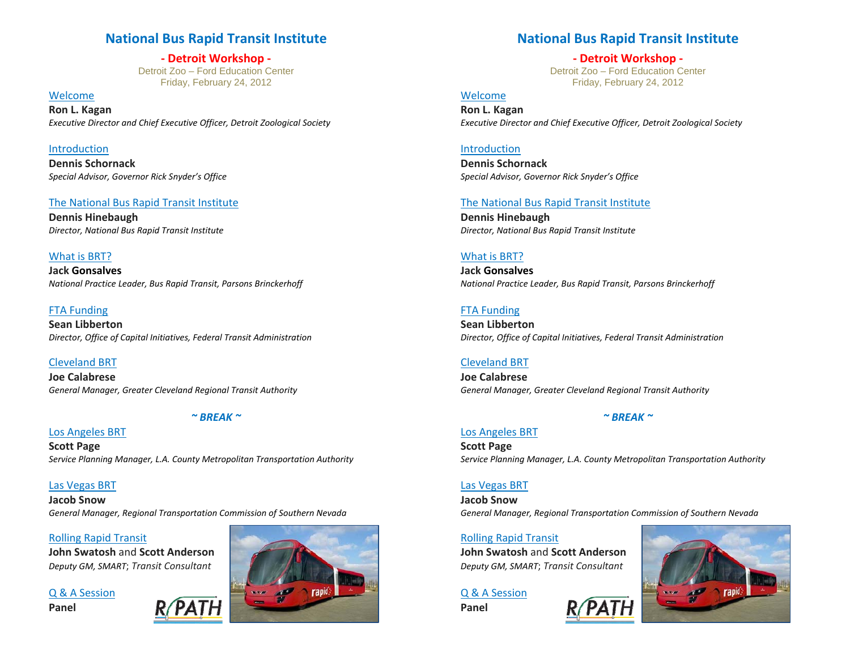## **National Bus Rapid Transit Institute**

**‐ Detroit Workshop ‐**  Detroit Zoo – Ford Education Center Friday, February 24, 2012

Welcome**Ron L. Kagan** *Executive Director and Chief Executive Officer, Detroit Zoological Society*

Introduction **Dennis Schornack***Special Advisor, Governor Rick Snyder's Office*

#### The National Bus Rapid Transit Institute

**Dennis Hinebaugh** *Director, National Bus Rapid Transit Institute*

#### What is BRT?

**Jack Gonsalves** *National Practice Leader, Bus Rapid Transit, Parsons Brinckerhoff*

#### FTA Funding

**Sean Libberton** *Director, Office of Capital Initiatives, Federal Transit Administration*

#### Cleveland BRT

**Joe Calabrese** *General Manager, Greater Cleveland Regional Transit Authority*

#### *~ BREAK <sup>~</sup>*

Los Angeles BRT **Scott Page** *Service Planning Manager, L.A. County Metropolitan Transportation Authority*

Las Vegas BRT **Jacob Snow***General Manager, Regional Transportation Commission of Southern Nevada*

#### Rolling Rapid Transit

**John Swatosh** and **Scott Anderson** *Deputy GM, SMART*; *Transit Consultant*

Q & A Session **Panel**



## **National Bus Rapid Transit Institute**

**‐ Detroit Workshop ‐**  Detroit Zoo – Ford Education Center Friday, February 24, 2012

#### Welcome

**Ron L. Kagan** *Executive Director and Chief Executive Officer, Detroit Zoological Society*

#### Introduction

**Dennis Schornack***Special Advisor, Governor Rick Snyder's Office*

#### The National Bus Rapid Transit Institute

**Dennis Hinebaugh** *Director, National Bus Rapid Transit Institute*

#### What is BRT?

**Jack Gonsalves** *National Practice Leader, Bus Rapid Transit, Parsons Brinckerhoff*

#### FTA Funding

**Sean Libberton** *Director, Office of Capital Initiatives, Federal Transit Administration*

#### Cleveland BRT

**Joe Calabrese** *General Manager, Greater Cleveland Regional Transit Authority*

#### *~ BREAK <sup>~</sup>*

Los Angeles BRT **Scott Page** *Service Planning Manager, L.A. County Metropolitan Transportation Authority*

#### Las Vegas BRT

**Jacob Snow***General Manager, Regional Transportation Commission of Southern Nevada*

#### Rolling Rapid Transit

**John Swatosh** and **Scott Anderson** *Deputy GM, SMART*; *Transit Consultant*

Q & A Session

**Panel**

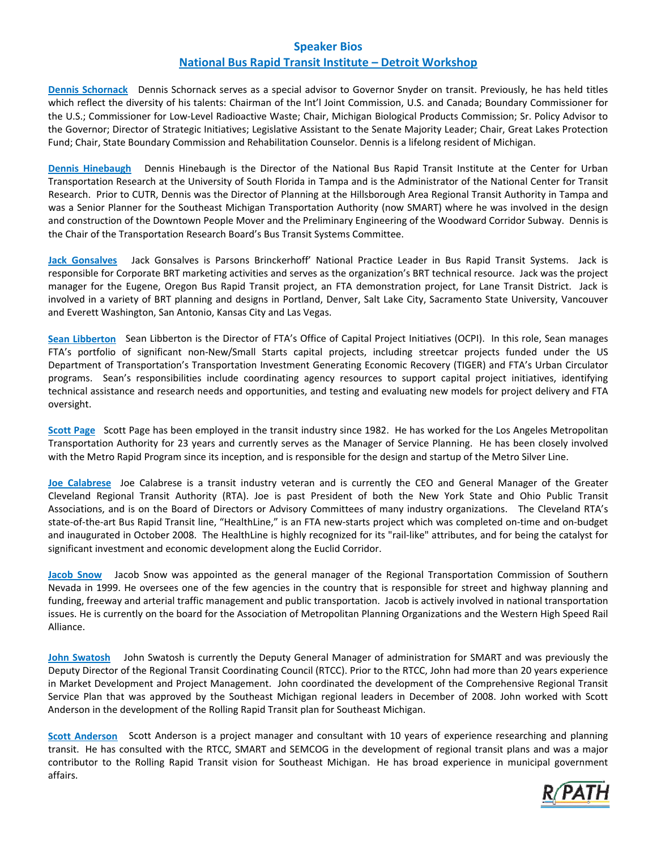#### **Speaker Bios National Bus Rapid Transit Institute – Detroit Workshop**

**Dennis Schornack** Dennis Schornack serves as a special advisor to Governor Snyder on transit. Previously, he has held titles which reflect the diversity of his talents: Chairman of the Int'l Joint Commission, U.S. and Canada; Boundary Commissioner for the U.S.; Commissioner for Low‐Level Radioactive Waste; Chair, Michigan Biological Products Commission; Sr. Policy Advisor to the Governor; Director of Strategic Initiatives; Legislative Assistant to the Senate Majority Leader; Chair, Great Lakes Protection Fund; Chair, State Boundary Commission and Rehabilitation Counselor. Dennis is a lifelong resident of Michigan.

**Dennis Hinebaugh** Dennis Hinebaugh is the Director of the National Bus Rapid Transit Institute at the Center for Urban Transportation Research at the University of South Florida in Tampa and is the Administrator of the National Center for Transit Research. Prior to CUTR, Dennis was the Director of Planning at the Hillsborough Area Regional Transit Authority in Tampa and was a Senior Planner for the Southeast Michigan Transportation Authority (now SMART) where he was involved in the design and construction of the Downtown People Mover and the Preliminary Engineering of the Woodward Corridor Subway. Dennis is the Chair of the Transportation Research Board's Bus Transit Systems Committee.

**Jack Gonsalves**  Jack Gonsalves is Parsons Brinckerhoff' National Practice Leader in Bus Rapid Transit Systems. Jack is responsible for Corporate BRT marketing activities and serves as the organization's BRT technical resource. Jack was the project manager for the Eugene, Oregon Bus Rapid Transit project, an FTA demonstration project, for Lane Transit District. Jack is involved in a variety of BRT planning and designs in Portland, Denver, Salt Lake City, Sacramento State University, Vancouver and Everett Washington, San Antonio, Kansas City and Las Vegas.

**Sean Libberton** Sean Libberton is the Director of FTA's Office of Capital Project Initiatives (OCPI). In this role, Sean manages FTA's portfolio of significant non-New/Small Starts capital projects, including streetcar projects funded under the US Department of Transportation's Transportation Investment Generating Economic Recovery (TIGER) and FTA's Urban Circulator programs. Sean's responsibilities include coordinating agency resources to support capital project initiatives, identifying technical assistance and research needs and opportunities, and testing and evaluating new models for project delivery and FTA oversight.

**Scott Page** Scott Page has been employed in the transit industry since 1982. He has worked for the Los Angeles Metropolitan Transportation Authority for 23 years and currently serves as the Manager of Service Planning. He has been closely involved with the Metro Rapid Program since its inception, and is responsible for the design and startup of the Metro Silver Line.

**Joe Calabrese**  Joe Calabrese is a transit industry veteran and is currently the CEO and General Manager of the Greater Cleveland Regional Transit Authority (RTA). Joe is past President of both the New York State and Ohio Public Transit Associations, and is on the Board of Directors or Advisory Committees of many industry organizations. The Cleveland RTA's state-of-the-art Bus Rapid Transit line, "HealthLine," is an FTA new-starts project which was completed on-time and on-budget and inaugurated in October 2008. The HealthLine is highly recognized for its "rail‐like" attributes, and for being the catalyst for significant investment and economic development along the Euclid Corridor.

**Jacob Snow**  Jacob Snow was appointed as the general manager of the Regional Transportation Commission of Southern Nevada in 1999. He oversees one of the few agencies in the country that is responsible for street and highway planning and funding, freeway and arterial traffic management and public transportation. Jacob is actively involved in national transportation issues. He is currently on the board for the Association of Metropolitan Planning Organizations and the Western High Speed Rail Alliance.

**John Swatosh** John Swatosh is currently the Deputy General Manager of administration for SMART and was previously the Deputy Director of the Regional Transit Coordinating Council (RTCC). Prior to the RTCC, John had more than 20 years experience in Market Development and Project Management. John coordinated the development of the Comprehensive Regional Transit Service Plan that was approved by the Southeast Michigan regional leaders in December of 2008. John worked with Scott Anderson in the development of the Rolling Rapid Transit plan for Southeast Michigan.

**Scott Anderson**  Scott Anderson is a project manager and consultant with 10 years of experience researching and planning transit. He has consulted with the RTCC, SMART and SEMCOG in the development of regional transit plans and was a major contributor to the Rolling Rapid Transit vision for Southeast Michigan. He has broad experience in municipal government affairs.

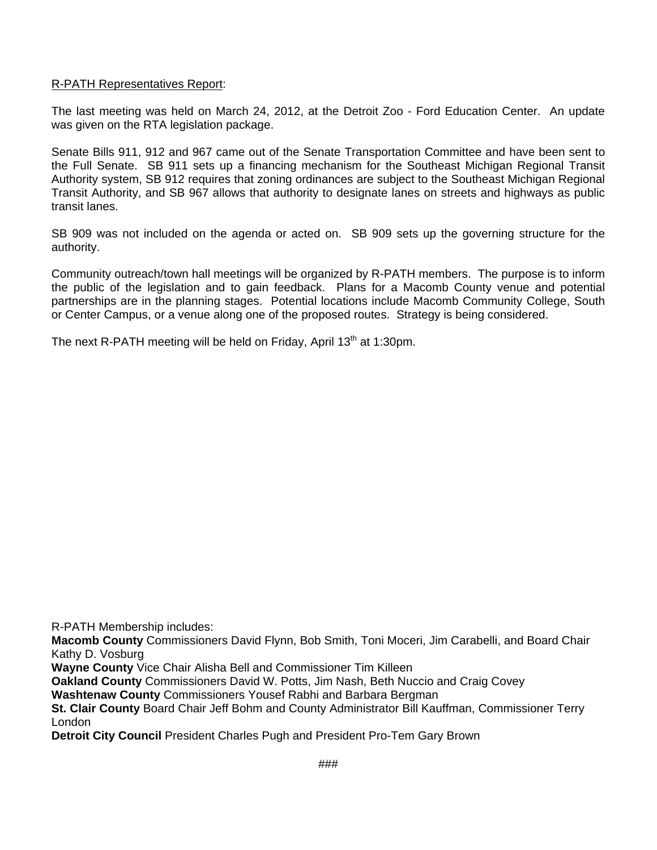#### R-PATH Representatives Report:

The last meeting was held on March 24, 2012, at the Detroit Zoo - Ford Education Center. An update was given on the RTA legislation package.

Senate Bills 911, 912 and 967 came out of the Senate Transportation Committee and have been sent to the Full Senate. SB 911 sets up a financing mechanism for the Southeast Michigan Regional Transit Authority system, SB 912 requires that zoning ordinances are subject to the Southeast Michigan Regional Transit Authority, and SB 967 allows that authority to designate lanes on streets and highways as public transit lanes.

SB 909 was not included on the agenda or acted on. SB 909 sets up the governing structure for the authority.

Community outreach/town hall meetings will be organized by R-PATH members. The purpose is to inform the public of the legislation and to gain feedback. Plans for a Macomb County venue and potential partnerships are in the planning stages. Potential locations include Macomb Community College, South or Center Campus, or a venue along one of the proposed routes. Strategy is being considered.

The next R-PATH meeting will be held on Friday, April  $13<sup>th</sup>$  at 1:30pm.

R-PATH Membership includes:

**Macomb County** Commissioners David Flynn, Bob Smith, Toni Moceri, Jim Carabelli, and Board Chair Kathy D. Vosburg

**Wayne County** Vice Chair Alisha Bell and Commissioner Tim Killeen

**Oakland County** Commissioners David W. Potts, Jim Nash, Beth Nuccio and Craig Covey

**Washtenaw County** Commissioners Yousef Rabhi and Barbara Bergman

**St. Clair County** Board Chair Jeff Bohm and County Administrator Bill Kauffman, Commissioner Terry London

**Detroit City Council** President Charles Pugh and President Pro-Tem Gary Brown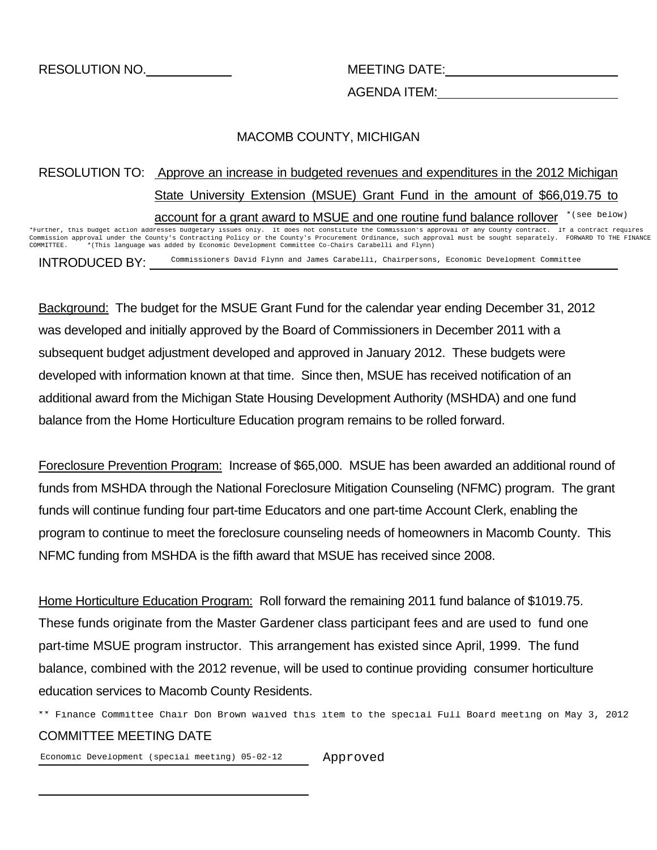AGENDA ITEM:

## MACOMB COUNTY, MICHIGAN

## RESOLUTION TO: Approve an increase in budgeted revenues and expenditures in the 2012 Michigan State University Extension (MSUE) Grant Fund in the amount of \$66,019.75 to account for a grant award to MSUE and one routine fund balance rollover \* (see below)

INTRODUCED BY: \*Further, this budget action addresses budgetary issues only. It does not constitute the Commission's approval of any County contract. If a contract requires Commission approval under the County's Contracting Policy or the County's Procurement Ordinance, such approval must be sought separately. FORWARD TO THE FINANCE COMMITTEE. \*(This language was added by Economic Development Committee Co-Chairs Carabelli and Flynn) Commissioners David Flynn and James Carabelli, Chairpersons, Economic Development Committee

Background: The budget for the MSUE Grant Fund for the calendar year ending December 31, 2012 was developed and initially approved by the Board of Commissioners in December 2011 with a subsequent budget adjustment developed and approved in January 2012. These budgets were developed with information known at that time. Since then, MSUE has received notification of an additional award from the Michigan State Housing Development Authority (MSHDA) and one fund balance from the Home Horticulture Education program remains to be rolled forward.

Foreclosure Prevention Program: Increase of \$65,000. MSUE has been awarded an additional round of funds from MSHDA through the National Foreclosure Mitigation Counseling (NFMC) program. The grant funds will continue funding four part-time Educators and one part-time Account Clerk, enabling the program to continue to meet the foreclosure counseling needs of homeowners in Macomb County. This NFMC funding from MSHDA is the fifth award that MSUE has received since 2008.

Home Horticulture Education Program: Roll forward the remaining 2011 fund balance of \$1019.75. These funds originate from the Master Gardener class participant fees and are used to fund one part-time MSUE program instructor. This arrangement has existed since April, 1999. The fund balance, combined with the 2012 revenue, will be used to continue providing consumer horticulture education services to Macomb County Residents.

\*\* Finance Committee Chair Don Brown waived this item to the special Full Board meeting on May 3, 2012<br> **COMMITTEE MEETING DATE**<br>
Economic Development (special meeting) 05-02-12 Approved COMMITTEE MEETING DATE

Economic Development (special meeting) 05-02-12 Approved

l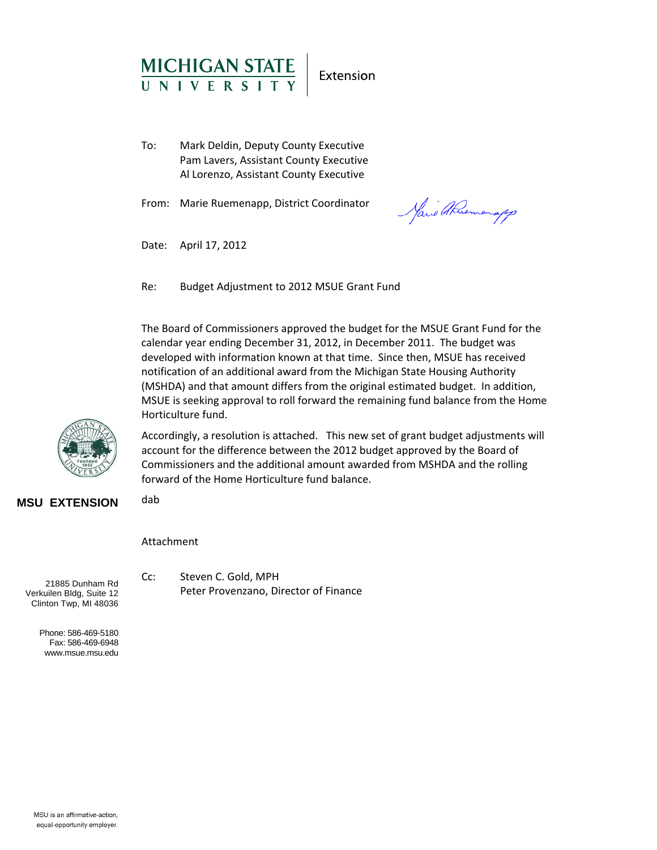

Extension

To: Mark Deldin, Deputy County Executive Pam Lavers, Assistant County Executive Al Lorenzo, Assistant County Executive

From: Marie Ruemenapp, District Coordinator

Marie Abuemanapp

Date: April 17, 2012

Re: Budget Adjustment to 2012 MSUE Grant Fund

The Board of Commissioners approved the budget for the MSUE Grant Fund for the calendar year ending December 31, 2012, in December 2011. The budget was developed with information known at that time. Since then, MSUE has received notification of an additional award from the Michigan State Housing Authority (MSHDA) and that amount differs from the original estimated budget. In addition, MSUE is seeking approval to roll forward the remaining fund balance from the Home Horticulture fund.



Accordingly, a resolution is attached. This new set of grant budget adjustments will account for the difference between the 2012 budget approved by the Board of Commissioners and the additional amount awarded from MSHDA and the rolling forward of the Home Horticulture fund balance.

**MSU EXTENSION**

Attachment

dab

21885 Dunham Rd Verkuilen Bldg, Suite 12 Clinton Twp, MI 48036

> Phone: 586-469-5180 Fax: 586-469-6948 www.msue.msu.edu

Cc: Steven C. Gold, MPH Peter Provenzano, Director of Finance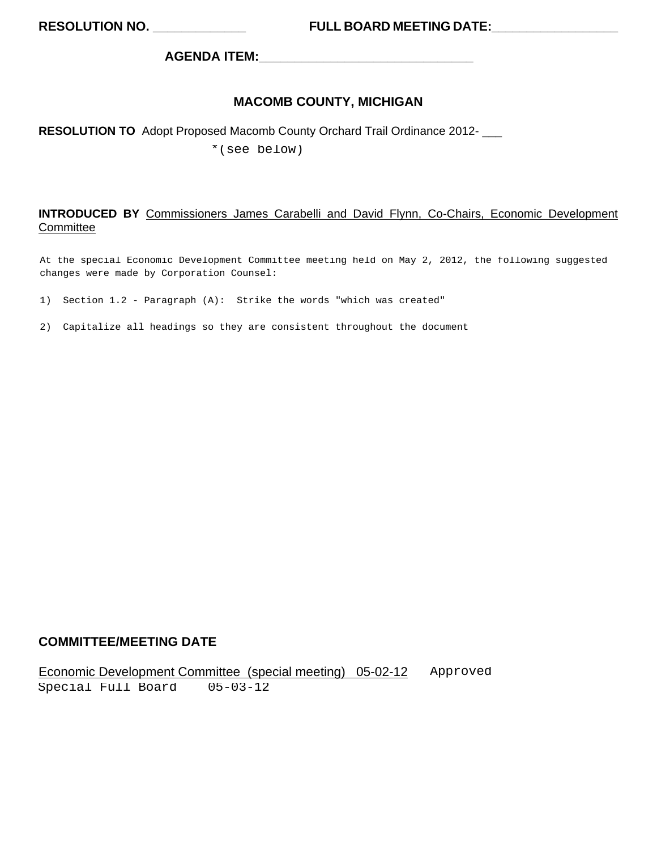**AGENDA ITEM:\_\_\_\_\_\_\_\_\_\_\_\_\_\_\_\_\_\_\_\_\_\_\_\_\_\_\_\_\_\_** 

## **MACOMB COUNTY, MICHIGAN**

## **RESOLUTION TO** Adopt Proposed Macomb County Orchard Trail Ordinance 2012- \_\_\_

\*(see below)

#### **INTRODUCED BY** Commissioners James Carabelli and David Flynn, Co-Chairs, Economic Development **Committee**

At the special Economic Development Committee meeting held on May 2, 2012, the following suggested changes were made by Corporation Counsel:

- 1) Section 1.2 Paragraph (A): Strike the words "which was created"
- 2) Capitalize all headings so they are consistent throughout the document

## **COMMITTEE/MEETING DATE**

Economic Development Committee (special meeting) 05-02-12 Approved Special Full Board 05-03-12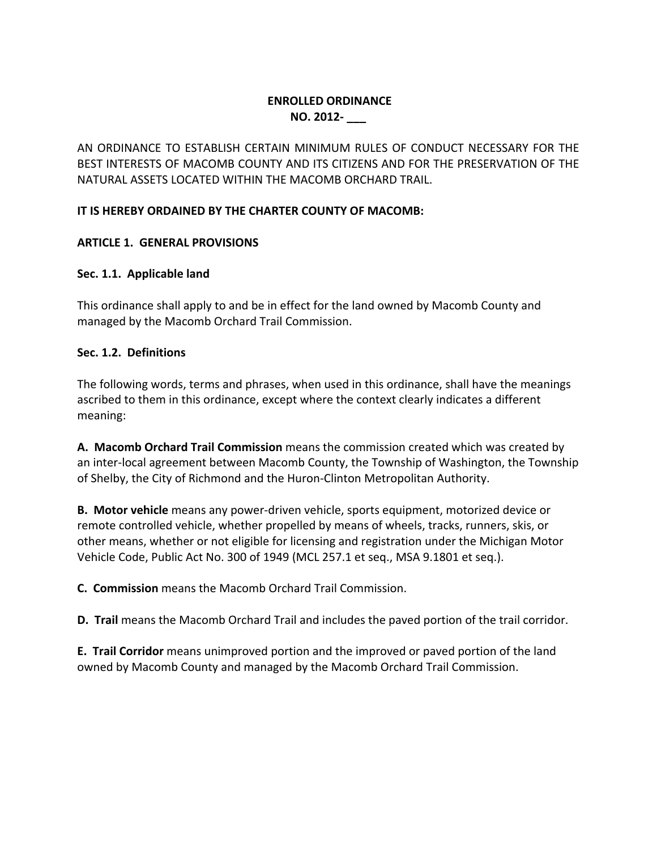## **ENROLLED ORDINANCE NO. 2012‐ \_\_\_**

AN ORDINANCE TO ESTABLISH CERTAIN MINIMUM RULES OF CONDUCT NECESSARY FOR THE BEST INTERESTS OF MACOMB COUNTY AND ITS CITIZENS AND FOR THE PRESERVATION OF THE NATURAL ASSETS LOCATED WITHIN THE MACOMB ORCHARD TRAIL.

## **IT IS HEREBY ORDAINED BY THE CHARTER COUNTY OF MACOMB:**

## **ARTICLE 1. GENERAL PROVISIONS**

## **Sec. 1.1. Applicable land**

This ordinance shall apply to and be in effect for the land owned by Macomb County and managed by the Macomb Orchard Trail Commission.

## **Sec. 1.2. Definitions**

The following words, terms and phrases, when used in this ordinance, shall have the meanings ascribed to them in this ordinance, except where the context clearly indicates a different meaning:

**A. Macomb Orchard Trail Commission** means the commission created which was created by an inter‐local agreement between Macomb County, the Township of Washington, the Township of Shelby, the City of Richmond and the Huron‐Clinton Metropolitan Authority.

**B. Motor vehicle** means any power‐driven vehicle, sports equipment, motorized device or remote controlled vehicle, whether propelled by means of wheels, tracks, runners, skis, or other means, whether or not eligible for licensing and registration under the Michigan Motor Vehicle Code, Public Act No. 300 of 1949 (MCL 257.1 et seq., MSA 9.1801 et seq.).

**C. Commission** means the Macomb Orchard Trail Commission.

**D. Trail** means the Macomb Orchard Trail and includes the paved portion of the trail corridor.

**E. Trail Corridor** means unimproved portion and the improved or paved portion of the land owned by Macomb County and managed by the Macomb Orchard Trail Commission.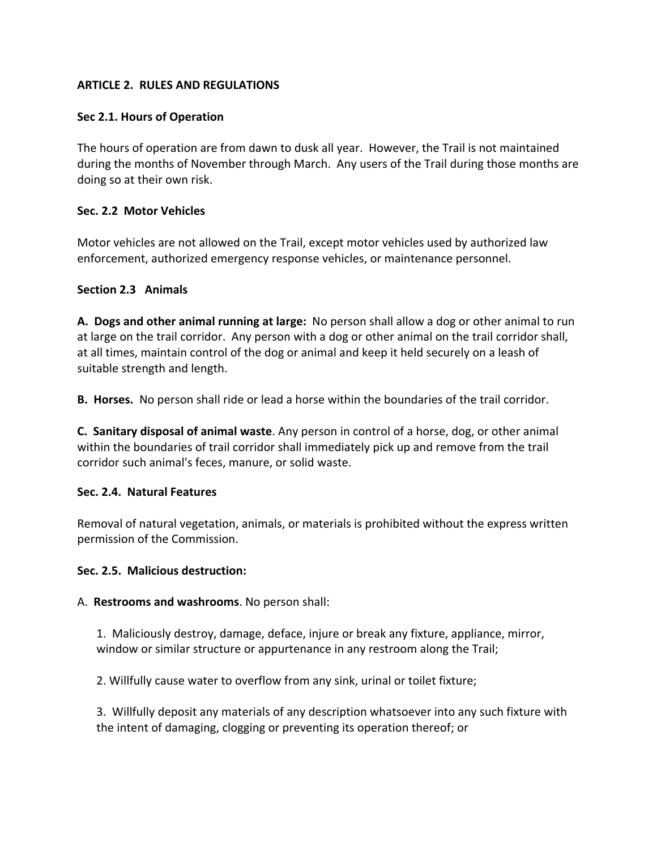## **ARTICLE 2. RULES AND REGULATIONS**

#### **Sec 2.1. Hours of Operation**

The hours of operation are from dawn to dusk all year. However, the Trail is not maintained during the months of November through March. Any users of the Trail during those months are doing so at their own risk.

## **Sec. 2.2 Motor Vehicles**

Motor vehicles are not allowed on the Trail, except motor vehicles used by authorized law enforcement, authorized emergency response vehicles, or maintenance personnel.

#### **Section 2.3 Animals**

**A. Dogs and other animal running at large:** No person shall allow a dog or other animal to run at large on the trail corridor. Any person with a dog or other animal on the trail corridor shall, at all times, maintain control of the dog or animal and keep it held securely on a leash of suitable strength and length.

**B. Horses.** No person shall ride or lead a horse within the boundaries of the trail corridor.

**C. Sanitary disposal of animal waste**. Any person in control of a horse, dog, or other animal within the boundaries of trail corridor shall immediately pick up and remove from the trail corridor such animal's feces, manure, or solid waste.

#### **Sec. 2.4. Natural Features**

Removal of natural vegetation, animals, or materials is prohibited without the express written permission of the Commission.

#### **Sec. 2.5. Malicious destruction:**

#### A. **Restrooms and washrooms**. No person shall:

1. Maliciously destroy, damage, deface, injure or break any fixture, appliance, mirror, window or similar structure or appurtenance in any restroom along the Trail;

2. Willfully cause water to overflow from any sink, urinal or toilet fixture;

3. Willfully deposit any materials of any description whatsoever into any such fixture with the intent of damaging, clogging or preventing its operation thereof; or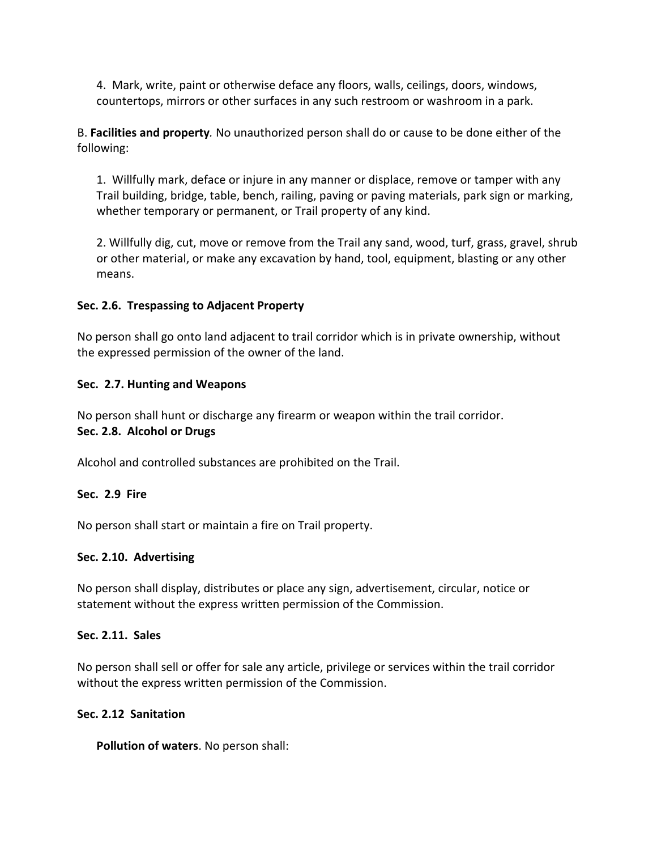4. Mark, write, paint or otherwise deface any floors, walls, ceilings, doors, windows, countertops, mirrors or other surfaces in any such restroom or washroom in a park.

B. **Facilities and property***.* No unauthorized person shall do or cause to be done either of the following:

1. Willfully mark, deface or injure in any manner or displace, remove or tamper with any Trail building, bridge, table, bench, railing, paving or paving materials, park sign or marking, whether temporary or permanent, or Trail property of any kind.

2. Willfully dig, cut, move or remove from the Trail any sand, wood, turf, grass, gravel, shrub or other material, or make any excavation by hand, tool, equipment, blasting or any other means.

#### **Sec. 2.6. Trespassing to Adjacent Property**

No person shall go onto land adjacent to trail corridor which is in private ownership, without the expressed permission of the owner of the land.

#### **Sec. 2.7. Hunting and Weapons**

No person shall hunt or discharge any firearm or weapon within the trail corridor.

#### **Sec. 2.8. Alcohol or Drugs**

Alcohol and controlled substances are prohibited on the Trail.

#### **Sec. 2.9 Fire**

No person shall start or maintain a fire on Trail property.

#### **Sec. 2.10. Advertising**

No person shall display, distributes or place any sign, advertisement, circular, notice or statement without the express written permission of the Commission.

#### **Sec. 2.11. Sales**

No person shall sell or offer for sale any article, privilege or services within the trail corridor without the express written permission of the Commission.

#### **Sec. 2.12 Sanitation**

**Pollution of waters**. No person shall: